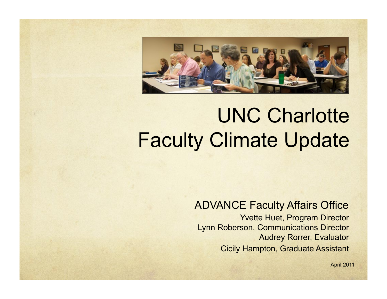

# UNC Charlotte Faculty Climate Update

#### ADVANCE Faculty Affairs Office

Yvette Huet, Program Director Lynn Roberson, Communications Director Audrey Rorrer, Evaluator Cicily Hampton, Graduate Assistant

April 2011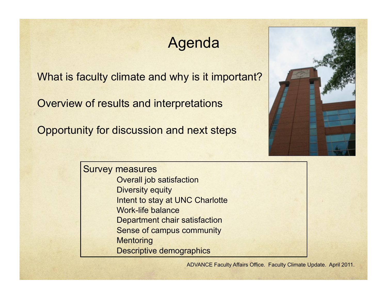# Agenda

What is faculty climate and why is it important?

Overview of results and interpretations

Opportunity for discussion and next steps



Survey measures Overall job satisfaction Diversity equity Intent to stay at UNC Charlotte Work-life balance Department chair satisfaction Sense of campus community **Mentoring** Descriptive demographics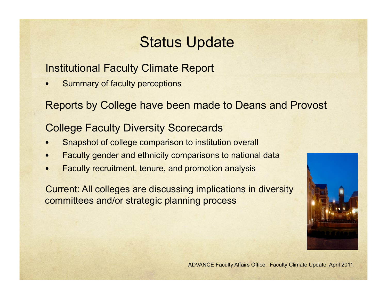# Status Update

#### Institutional Faculty Climate Report

Summary of faculty perceptions

Reports by College have been made to Deans and Provost

#### College Faculty Diversity Scorecards

- Snapshot of college comparison to institution overall
- Faculty gender and ethnicity comparisons to national data
- Faculty recruitment, tenure, and promotion analysis

Current: All colleges are discussing implications in diversity committees and/or strategic planning process

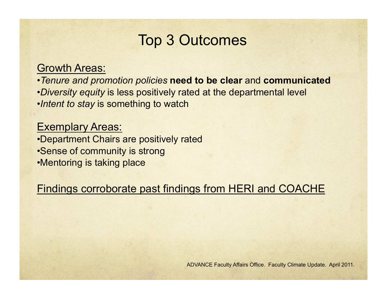### Top 3 Outcomes

#### Growth Areas:

•*Tenure and promotion policies* **need to be clear** and **communicated**  •*Diversity equity* is less positively rated at the departmental level

•*Intent to stay* is something to watch

#### **Exemplary Areas:**

•Department Chairs are positively rated •Sense of community is strong •Mentoring is taking place

Findings corroborate past findings from HERI and COACHE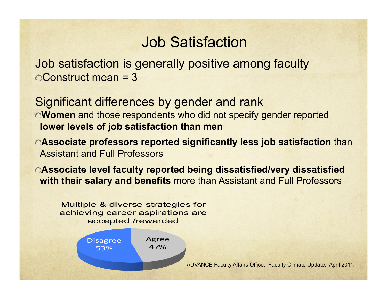### Job Satisfaction

Job satisfaction is generally positive among faculty Construct mean = 3

Significant differences by gender and rank **Women** and those respondents who did not specify gender reported **lower levels of job satisfaction than men** 

- **Associate professors reported significantly less job satisfaction** than Assistant and Full Professors
- **Associate level faculty reported being dissatisfied/very dissatisfied with their salary and benefits** more than Assistant and Full Professors

Multiple & diverse strategies for achieving career aspirations are accepted /rewarded

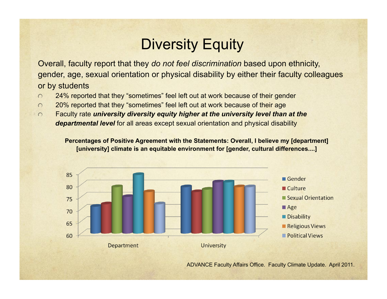# Diversity Equity

Overall, faculty report that they *do not feel discrimination* based upon ethnicity, gender, age, sexual orientation or physical disability by either their faculty colleagues or by students

- 24% reported that they "sometimes" feel left out at work because of their gender  $\bigcap$
- 20% reported that they "sometimes" feel left out at work because of their age  $\bigcap$
- Faculty rate *university diversity equity higher at the university level than at the*   $\Omega$ *departmental level* for all areas except sexual orientation and physical disability

**Percentages of Positive Agreement with the Statements: Overall, I believe my [department] [university] climate is an equitable environment for [gender, cultural differences....]** 

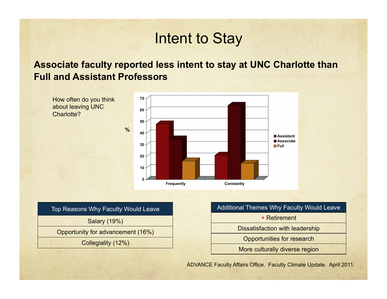### Intent to Stay

#### **Associate faculty reported less intent to stay at UNC Charlotte than Full and Assistant Professors**





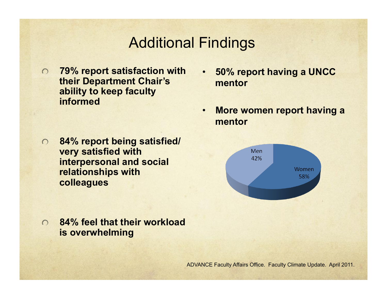### Additional Findings

- **79% report satisfaction with their Department Chair's ability to keep faculty informed**
- **50% report having a UNCC mentor**
- **More women report having a mentor**



- **84% report being satisfied/**  $\bigcap$ **very satisfied with interpersonal and social relationships with colleagues**
- **84% feel that their workload**   $\bigcap$ **is overwhelming**